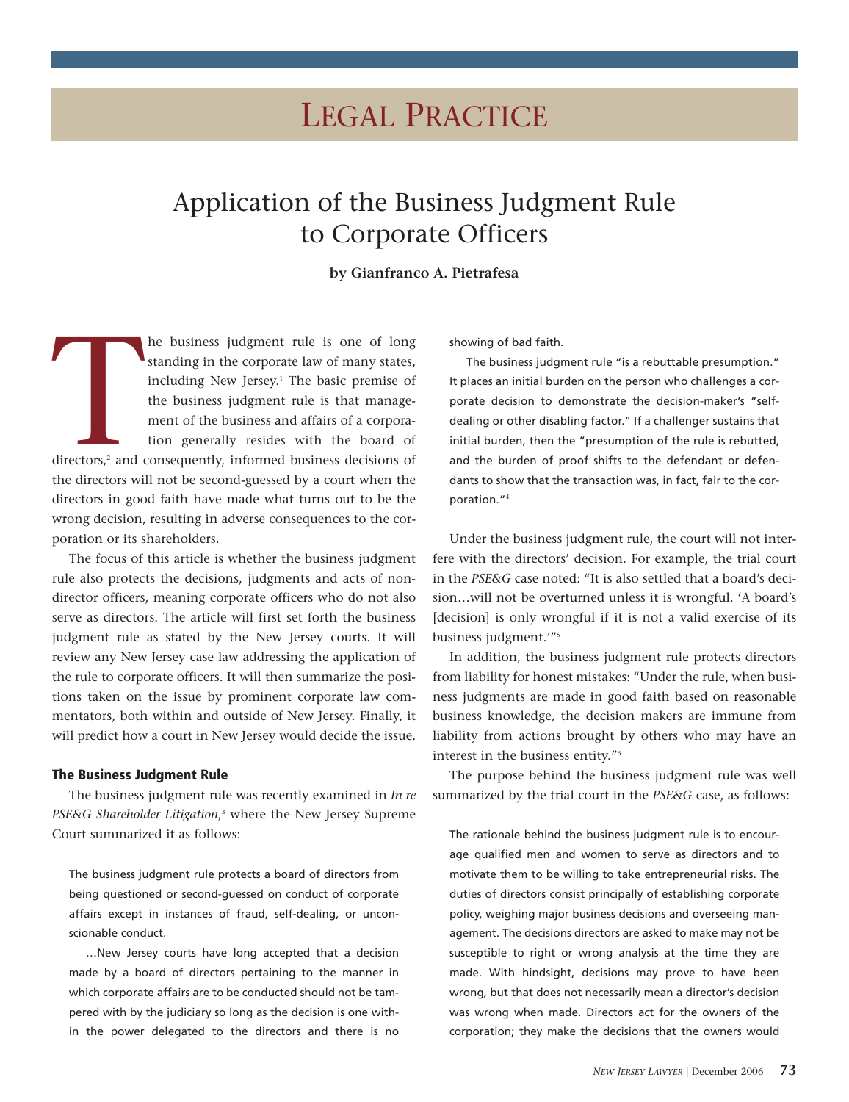# LEGAL PRACTICE

# Application of the Business Judgment Rule to Corporate Officers

# **by Gianfranco A. Pietrafesa**

directors,<sup>2</sup> and of he business judgment rule is one of long standing in the corporate law of many states, including New Jersey.<sup>1</sup> The basic premise of the business judgment rule is that management of the business and affairs of a corporation generally resides with the board of directors,<sup>2</sup> and consequently, informed business decisions of the directors will not be second-guessed by a court when the directors in good faith have made what turns out to be the wrong decision, resulting in adverse consequences to the corporation or its shareholders.

The focus of this article is whether the business judgment rule also protects the decisions, judgments and acts of nondirector officers, meaning corporate officers who do not also serve as directors. The article will first set forth the business judgment rule as stated by the New Jersey courts. It will review any New Jersey case law addressing the application of the rule to corporate officers. It will then summarize the positions taken on the issue by prominent corporate law commentators, both within and outside of New Jersey. Finally, it will predict how a court in New Jersey would decide the issue.

#### **The Business Judgment Rule**

The business judgment rule was recently examined in *In re PSE&G Shareholder Litigation*, <sup>3</sup> where the New Jersey Supreme Court summarized it as follows:

The business judgment rule protects a board of directors from being questioned or second-guessed on conduct of corporate affairs except in instances of fraud, self-dealing, or unconscionable conduct.

…New Jersey courts have long accepted that a decision made by a board of directors pertaining to the manner in which corporate affairs are to be conducted should not be tampered with by the judiciary so long as the decision is one within the power delegated to the directors and there is no

showing of bad faith.

The business judgment rule "is a rebuttable presumption." It places an initial burden on the person who challenges a corporate decision to demonstrate the decision-maker's "selfdealing or other disabling factor." If a challenger sustains that initial burden, then the "presumption of the rule is rebutted, and the burden of proof shifts to the defendant or defendants to show that the transaction was, in fact, fair to the corporation."<sup>4</sup>

Under the business judgment rule, the court will not interfere with the directors' decision. For example, the trial court in the *PSE&G* case noted: "It is also settled that a board's decision…will not be overturned unless it is wrongful. 'A board's [decision] is only wrongful if it is not a valid exercise of its business judgment.'"5

In addition, the business judgment rule protects directors from liability for honest mistakes: "Under the rule, when business judgments are made in good faith based on reasonable business knowledge, the decision makers are immune from liability from actions brought by others who may have an interest in the business entity."6

The purpose behind the business judgment rule was well summarized by the trial court in the *PSE&G* case, as follows:

The rationale behind the business judgment rule is to encourage qualified men and women to serve as directors and to motivate them to be willing to take entrepreneurial risks. The duties of directors consist principally of establishing corporate policy, weighing major business decisions and overseeing management. The decisions directors are asked to make may not be susceptible to right or wrong analysis at the time they are made. With hindsight, decisions may prove to have been wrong, but that does not necessarily mean a director's decision was wrong when made. Directors act for the owners of the corporation; they make the decisions that the owners would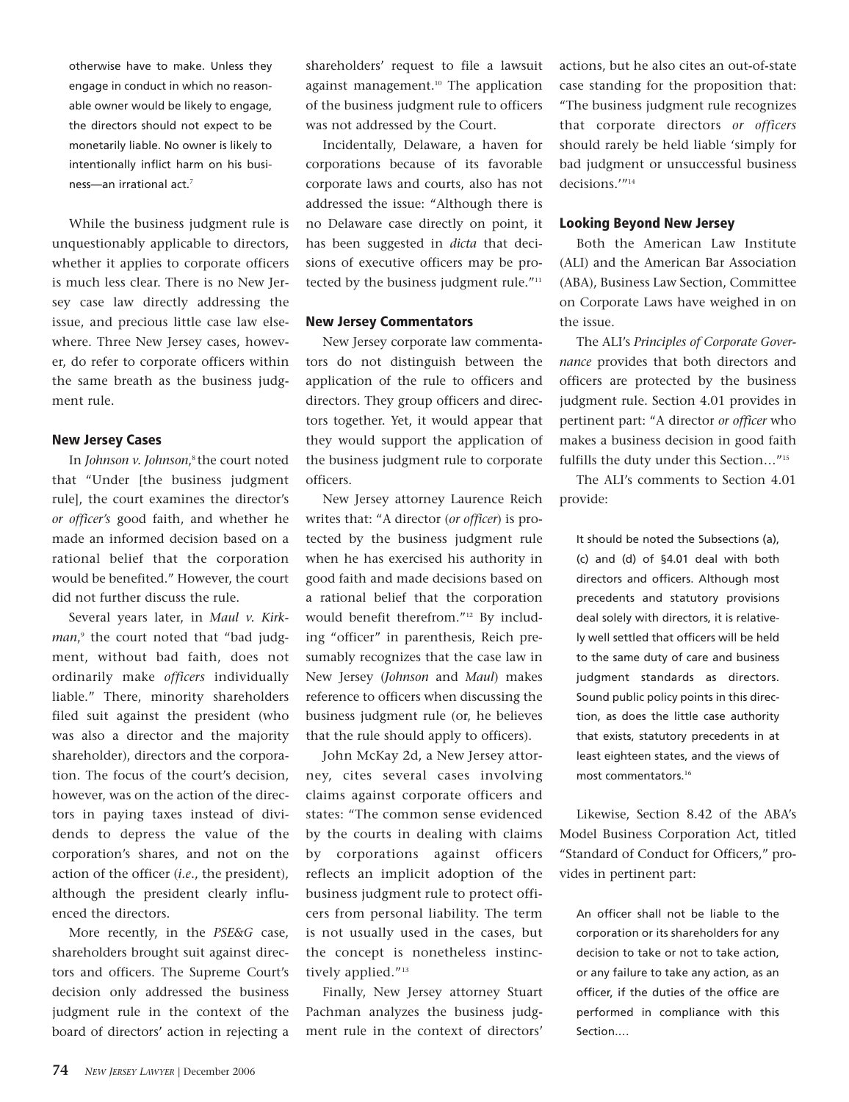otherwise have to make. Unless they engage in conduct in which no reasonable owner would be likely to engage, the directors should not expect to be monetarily liable. No owner is likely to intentionally inflict harm on his business—an irrational act.<sup>7</sup>

While the business judgment rule is unquestionably applicable to directors, whether it applies to corporate officers is much less clear. There is no New Jersey case law directly addressing the issue, and precious little case law elsewhere. Three New Jersey cases, however, do refer to corporate officers within the same breath as the business judgment rule.

#### **New Jersey Cases**

In *Johnson v. Johnson*, 8 the court noted that "Under [the business judgment rule], the court examines the director's *or officer's* good faith, and whether he made an informed decision based on a rational belief that the corporation would be benefited." However, the court did not further discuss the rule.

Several years later, in *Maul v. Kirkman*, <sup>9</sup> the court noted that "bad judgment, without bad faith, does not ordinarily make *officers* individually liable." There, minority shareholders filed suit against the president (who was also a director and the majority shareholder), directors and the corporation. The focus of the court's decision, however, was on the action of the directors in paying taxes instead of dividends to depress the value of the corporation's shares, and not on the action of the officer (*i.e*., the president), although the president clearly influenced the directors.

More recently, in the *PSE&G* case, shareholders brought suit against directors and officers. The Supreme Court's decision only addressed the business judgment rule in the context of the board of directors' action in rejecting a

shareholders' request to file a lawsuit against management.<sup>10</sup> The application of the business judgment rule to officers was not addressed by the Court.

Incidentally, Delaware, a haven for corporations because of its favorable corporate laws and courts, also has not addressed the issue: "Although there is no Delaware case directly on point, it has been suggested in *dicta* that decisions of executive officers may be protected by the business judgment rule."<sup>11</sup>

#### **New Jersey Commentators**

New Jersey corporate law commentators do not distinguish between the application of the rule to officers and directors. They group officers and directors together. Yet, it would appear that they would support the application of the business judgment rule to corporate officers.

New Jersey attorney Laurence Reich writes that: "A director (*or officer*) is protected by the business judgment rule when he has exercised his authority in good faith and made decisions based on a rational belief that the corporation would benefit therefrom."12 By including "officer" in parenthesis, Reich presumably recognizes that the case law in New Jersey (*Johnson* and *Maul*) makes reference to officers when discussing the business judgment rule (or, he believes that the rule should apply to officers).

John McKay 2d, a New Jersey attorney, cites several cases involving claims against corporate officers and states: "The common sense evidenced by the courts in dealing with claims by corporations against officers reflects an implicit adoption of the business judgment rule to protect officers from personal liability. The term is not usually used in the cases, but the concept is nonetheless instinctively applied."<sup>13</sup>

Finally, New Jersey attorney Stuart Pachman analyzes the business judgment rule in the context of directors'

actions, but he also cites an out-of-state case standing for the proposition that: "The business judgment rule recognizes that corporate directors *or officers* should rarely be held liable 'simply for bad judgment or unsuccessful business decisions.'"14

#### **Looking Beyond New Jersey**

Both the American Law Institute (ALI) and the American Bar Association (ABA), Business Law Section, Committee on Corporate Laws have weighed in on the issue.

The ALI's *Principles of Corporate Governance* provides that both directors and officers are protected by the business judgment rule. Section 4.01 provides in pertinent part: "A director *or officer* who makes a business decision in good faith fulfills the duty under this Section…"15

The ALI's comments to Section 4.01 provide:

It should be noted the Subsections (a), (c) and (d) of §4.01 deal with both directors and officers. Although most precedents and statutory provisions deal solely with directors, it is relatively well settled that officers will be held to the same duty of care and business judgment standards as directors. Sound public policy points in this direction, as does the little case authority that exists, statutory precedents in at least eighteen states, and the views of most commentators.<sup>16</sup>

Likewise, Section 8.42 of the ABA's Model Business Corporation Act, titled "Standard of Conduct for Officers," provides in pertinent part:

An officer shall not be liable to the corporation or its shareholders for any decision to take or not to take action, or any failure to take any action, as an officer, if the duties of the office are performed in compliance with this Section.…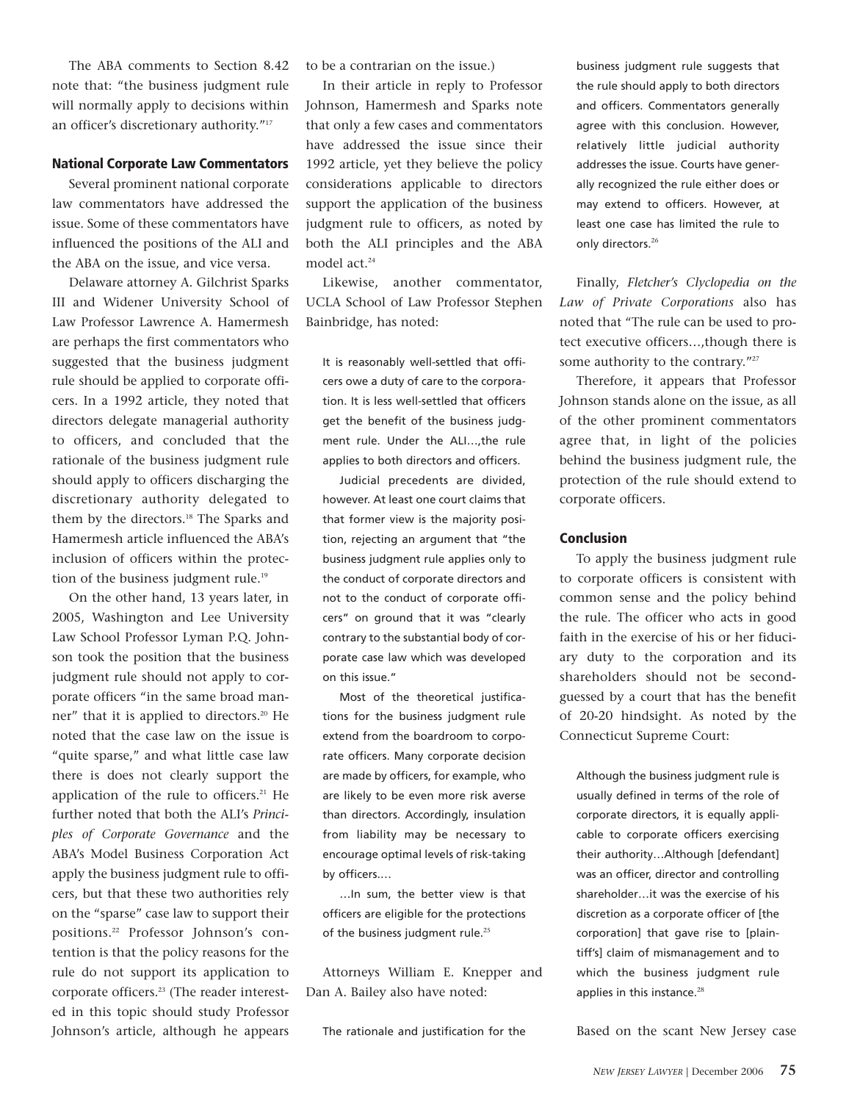The ABA comments to Section 8.42 note that: "the business judgment rule will normally apply to decisions within an officer's discretionary authority."17

### **National Corporate Law Commentators**

Several prominent national corporate law commentators have addressed the issue. Some of these commentators have influenced the positions of the ALI and the ABA on the issue, and vice versa.

Delaware attorney A. Gilchrist Sparks III and Widener University School of Law Professor Lawrence A. Hamermesh are perhaps the first commentators who suggested that the business judgment rule should be applied to corporate officers. In a 1992 article, they noted that directors delegate managerial authority to officers, and concluded that the rationale of the business judgment rule should apply to officers discharging the discretionary authority delegated to them by the directors.<sup>18</sup> The Sparks and Hamermesh article influenced the ABA's inclusion of officers within the protection of the business judgment rule.<sup>19</sup>

On the other hand, 13 years later, in 2005, Washington and Lee University Law School Professor Lyman P.Q. Johnson took the position that the business judgment rule should not apply to corporate officers "in the same broad manner" that it is applied to directors.<sup>20</sup> He noted that the case law on the issue is "quite sparse," and what little case law there is does not clearly support the application of the rule to officers.<sup>21</sup> He further noted that both the ALI's *Principles of Corporate Governance* and the ABA's Model Business Corporation Act apply the business judgment rule to officers, but that these two authorities rely on the "sparse" case law to support their positions.22 Professor Johnson's contention is that the policy reasons for the rule do not support its application to corporate officers.23 (The reader interested in this topic should study Professor Johnson's article, although he appears

to be a contrarian on the issue.)

In their article in reply to Professor Johnson, Hamermesh and Sparks note that only a few cases and commentators have addressed the issue since their 1992 article, yet they believe the policy considerations applicable to directors support the application of the business judgment rule to officers, as noted by both the ALI principles and the ABA model act.<sup>24</sup>

Likewise, another commentator, UCLA School of Law Professor Stephen Bainbridge, has noted:

It is reasonably well-settled that officers owe a duty of care to the corporation. It is less well-settled that officers get the benefit of the business judgment rule. Under the ALI…,the rule applies to both directors and officers.

Judicial precedents are divided, however. At least one court claims that that former view is the majority position, rejecting an argument that "the business judgment rule applies only to the conduct of corporate directors and not to the conduct of corporate officers" on ground that it was "clearly contrary to the substantial body of corporate case law which was developed on this issue."

Most of the theoretical justifications for the business judgment rule extend from the boardroom to corporate officers. Many corporate decision are made by officers, for example, who are likely to be even more risk averse than directors. Accordingly, insulation from liability may be necessary to encourage optimal levels of risk-taking by officers.…

…In sum, the better view is that officers are eligible for the protections of the business judgment rule.<sup>25</sup>

Attorneys William E. Knepper and Dan A. Bailey also have noted:

The rationale and justification for the

business judgment rule suggests that the rule should apply to both directors and officers. Commentators generally agree with this conclusion. However, relatively little judicial authority addresses the issue. Courts have generally recognized the rule either does or may extend to officers. However, at least one case has limited the rule to only directors.<sup>26</sup>

Finally, *Fletcher's Clyclopedia on the Law of Private Corporations* also has noted that "The rule can be used to protect executive officers…,though there is some authority to the contrary."<sup>27</sup>

Therefore, it appears that Professor Johnson stands alone on the issue, as all of the other prominent commentators agree that, in light of the policies behind the business judgment rule, the protection of the rule should extend to corporate officers.

## **Conclusion**

To apply the business judgment rule to corporate officers is consistent with common sense and the policy behind the rule. The officer who acts in good faith in the exercise of his or her fiduciary duty to the corporation and its shareholders should not be secondguessed by a court that has the benefit of 20-20 hindsight. As noted by the Connecticut Supreme Court:

Although the business judgment rule is usually defined in terms of the role of corporate directors, it is equally applicable to corporate officers exercising their authority…Although [defendant] was an officer, director and controlling shareholder…it was the exercise of his discretion as a corporate officer of [the corporation] that gave rise to [plaintiff's] claim of mismanagement and to which the business judgment rule applies in this instance.<sup>28</sup>

Based on the scant New Jersey case